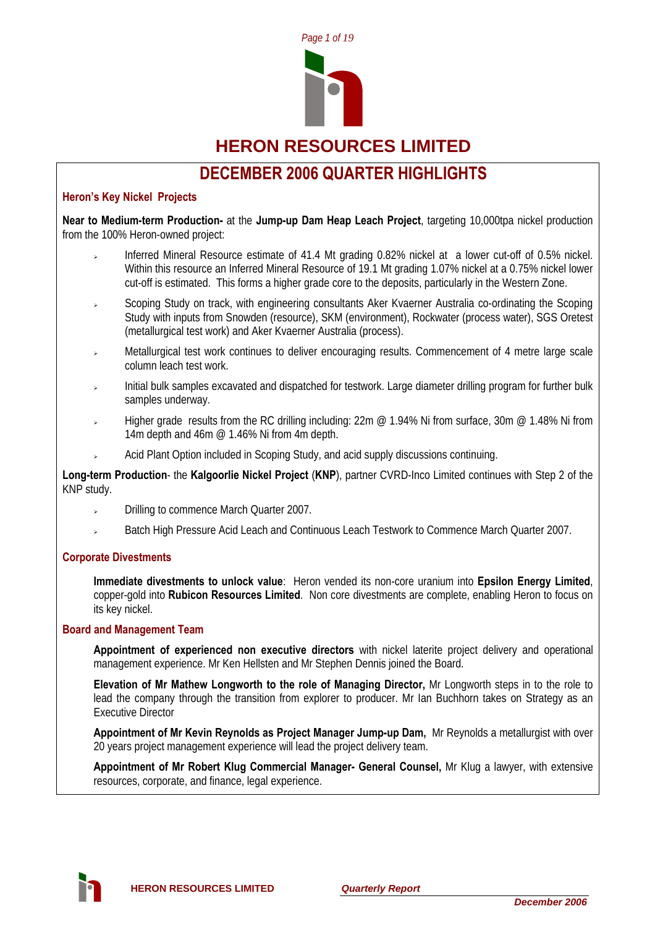

**HERON RESOURCES LIMITED** 

# **DECEMBER 2006 QUARTER HIGHLIGHTS**

## **Heron's Key Nickel Projects**

**Near to Medium-term Production-** at the **Jump-up Dam Heap Leach Project**, targeting 10,000tpa nickel production from the 100% Heron-owned project:

- Inferred Mineral Resource estimate of 41.4 Mt grading 0.82% nickel at a lower cut-off of 0.5% nickel. Within this resource an Inferred Mineral Resource of 19.1 Mt grading 1.07% nickel at a 0.75% nickel lower cut-off is estimated. This forms a higher grade core to the deposits, particularly in the Western Zone.
- <sup>¾</sup> Scoping Study on track, with engineering consultants Aker Kvaerner Australia co-ordinating the Scoping Study with inputs from Snowden (resource), SKM (environment), Rockwater (process water), SGS Oretest (metallurgical test work) and Aker Kvaerner Australia (process).
- <sup>¾</sup> Metallurgical test work continues to deliver encouraging results. Commencement of 4 metre large scale column leach test work.
- <sup>¾</sup> Initial bulk samples excavated and dispatched for testwork. Large diameter drilling program for further bulk samples underway.
- Higher grade results from the RC drilling including: 22m @ 1.94% Ni from surface, 30m @ 1.48% Ni from 14m depth and 46m @ 1.46% Ni from 4m depth.
- Acid Plant Option included in Scoping Study, and acid supply discussions continuing.

**Long-term Production**- the **Kalgoorlie Nickel Project** (**KNP**), partner CVRD-Inco Limited continues with Step 2 of the KNP study.

- Drilling to commence March Quarter 2007.
- Batch High Pressure Acid Leach and Continuous Leach Testwork to Commence March Quarter 2007.

### **Corporate Divestments**

**Immediate divestments to unlock value**: Heron vended its non-core uranium into **Epsilon Energy Limited**, copper-gold into **Rubicon Resources Limited**. Non core divestments are complete, enabling Heron to focus on its key nickel.

#### **Board and Management Team**

**Appointment of experienced non executive directors** with nickel laterite project delivery and operational management experience. Mr Ken Hellsten and Mr Stephen Dennis joined the Board.

**Elevation of Mr Mathew Longworth to the role of Managing Director,** Mr Longworth steps in to the role to lead the company through the transition from explorer to producer. Mr Ian Buchhorn takes on Strategy as an Executive Director

**Appointment of Mr Kevin Reynolds as Project Manager Jump-up Dam,** Mr Reynolds a metallurgist with over 20 years project management experience will lead the project delivery team.

**Appointment of Mr Robert Klug Commercial Manager- General Counsel,** Mr Klug a lawyer, with extensive resources, corporate, and finance, legal experience.

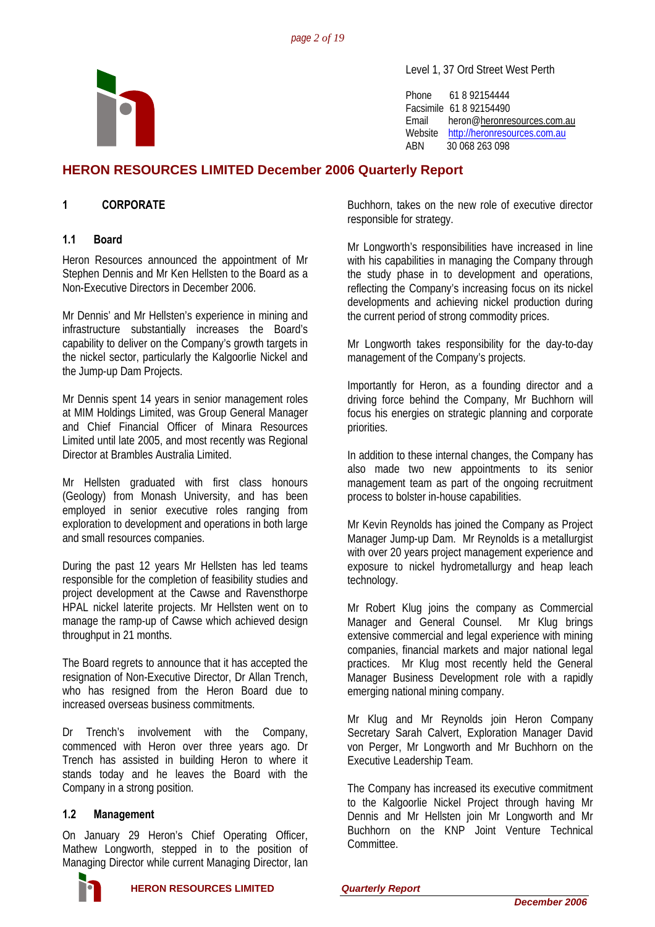

Level 1, 37 Ord Street West Perth

Phone 61 8 92154444 Facsimile 61 8 92154490 Email heron@[heronresources.com.au](mailto:heron@emerge.net.au) Website [http://heronresources.com.au](http://heronresources.com.au/) ABN 30 068 263 098

# **HERON RESOURCES LIMITED December 2006 Quarterly Report**

# **1 CORPORATE**

### **1.1 Board**

Heron Resources announced the appointment of Mr Stephen Dennis and Mr Ken Hellsten to the Board as a Non-Executive Directors in December 2006.

Mr Dennis' and Mr Hellsten's experience in mining and infrastructure substantially increases the Board's capability to deliver on the Company's growth targets in the nickel sector, particularly the Kalgoorlie Nickel and the Jump-up Dam Projects.

Mr Dennis spent 14 years in senior management roles at MIM Holdings Limited, was Group General Manager and Chief Financial Officer of Minara Resources Limited until late 2005, and most recently was Regional Director at Brambles Australia Limited.

Mr Hellsten graduated with first class honours (Geology) from Monash University, and has been employed in senior executive roles ranging from exploration to development and operations in both large and small resources companies.

During the past 12 years Mr Hellsten has led teams responsible for the completion of feasibility studies and project development at the Cawse and Ravensthorpe HPAL nickel laterite projects. Mr Hellsten went on to manage the ramp-up of Cawse which achieved design throughput in 21 months.

The Board regrets to announce that it has accepted the resignation of Non-Executive Director, Dr Allan Trench, who has resigned from the Heron Board due to increased overseas business commitments.

Dr Trench's involvement with the Company, commenced with Heron over three years ago. Dr Trench has assisted in building Heron to where it stands today and he leaves the Board with the Company in a strong position.

### **1.2 Management**

On January 29 Heron's Chief Operating Officer, Mathew Longworth, stepped in to the position of Managing Director while current Managing Director, Ian

Buchhorn, takes on the new role of executive director responsible for strategy.

Mr Longworth's responsibilities have increased in line with his capabilities in managing the Company through the study phase in to development and operations, reflecting the Company's increasing focus on its nickel developments and achieving nickel production during the current period of strong commodity prices.

Mr Longworth takes responsibility for the day-to-day management of the Company's projects.

Importantly for Heron, as a founding director and a driving force behind the Company, Mr Buchhorn will focus his energies on strategic planning and corporate priorities.

In addition to these internal changes, the Company has also made two new appointments to its senior management team as part of the ongoing recruitment process to bolster in-house capabilities.

Mr Kevin Reynolds has joined the Company as Project Manager Jump-up Dam. Mr Reynolds is a metallurgist with over 20 years project management experience and exposure to nickel hydrometallurgy and heap leach technology.

Mr Robert Klug joins the company as Commercial Manager and General Counsel. Mr Klug brings extensive commercial and legal experience with mining companies, financial markets and major national legal practices. Mr Klug most recently held the General Manager Business Development role with a rapidly emerging national mining company.

Mr Klug and Mr Reynolds join Heron Company Secretary Sarah Calvert, Exploration Manager David von Perger, Mr Longworth and Mr Buchhorn on the Executive Leadership Team.

The Company has increased its executive commitment to the Kalgoorlie Nickel Project through having Mr Dennis and Mr Hellsten join Mr Longworth and Mr Buchhorn on the KNP Joint Venture Technical Committee.

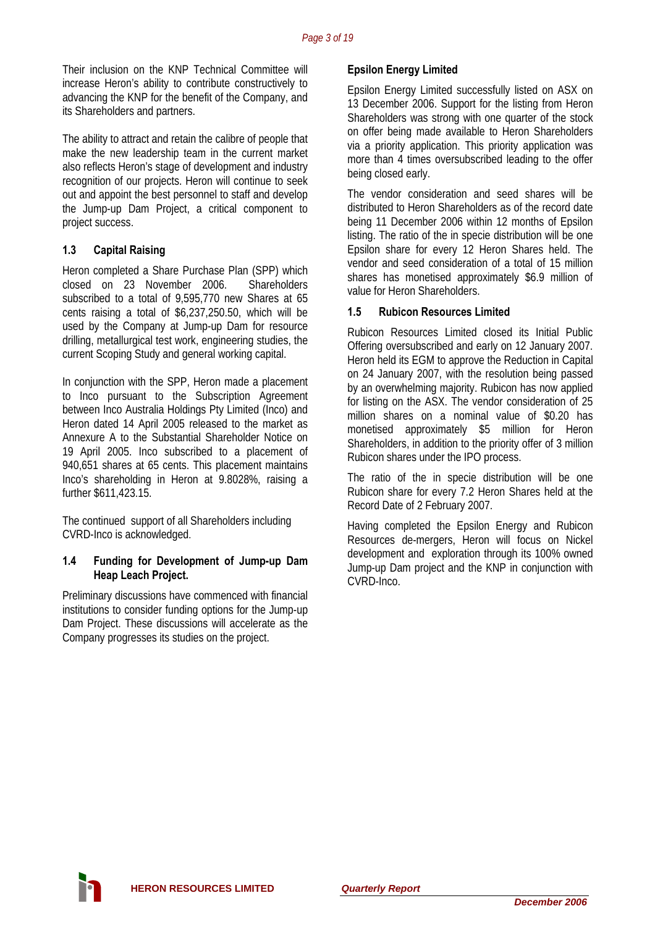Their inclusion on the KNP Technical Committee will increase Heron's ability to contribute constructively to advancing the KNP for the benefit of the Company, and its Shareholders and partners.

The ability to attract and retain the calibre of people that make the new leadership team in the current market also reflects Heron's stage of development and industry recognition of our projects. Heron will continue to seek out and appoint the best personnel to staff and develop the Jump-up Dam Project, a critical component to project success.

# **1.3 Capital Raising**

Heron completed a Share Purchase Plan (SPP) which closed on 23 November 2006. Shareholders subscribed to a total of 9,595,770 new Shares at 65 cents raising a total of \$6,237,250.50, which will be used by the Company at Jump-up Dam for resource drilling, metallurgical test work, engineering studies, the current Scoping Study and general working capital.

In conjunction with the SPP, Heron made a placement to Inco pursuant to the Subscription Agreement between Inco Australia Holdings Pty Limited (Inco) and Heron dated 14 April 2005 released to the market as Annexure A to the Substantial Shareholder Notice on 19 April 2005. Inco subscribed to a placement of 940,651 shares at 65 cents. This placement maintains Inco's shareholding in Heron at 9.8028%, raising a further \$611,423.15.

The continued support of all Shareholders including CVRD-Inco is acknowledged.

#### **1.4 Funding for Development of Jump-up Dam Heap Leach Project.**

Preliminary discussions have commenced with financial institutions to consider funding options for the Jump-up Dam Project. These discussions will accelerate as the Company progresses its studies on the project.

# **Epsilon Energy Limited**

Epsilon Energy Limited successfully listed on ASX on 13 December 2006. Support for the listing from Heron Shareholders was strong with one quarter of the stock on offer being made available to Heron Shareholders via a priority application. This priority application was more than 4 times oversubscribed leading to the offer being closed early.

The vendor consideration and seed shares will be distributed to Heron Shareholders as of the record date being 11 December 2006 within 12 months of Epsilon listing. The ratio of the in specie distribution will be one Epsilon share for every 12 Heron Shares held. The vendor and seed consideration of a total of 15 million shares has monetised approximately \$6.9 million of value for Heron Shareholders.

# **1.5 Rubicon Resources Limited**

Rubicon Resources Limited closed its Initial Public Offering oversubscribed and early on 12 January 2007. Heron held its EGM to approve the Reduction in Capital on 24 January 2007, with the resolution being passed by an overwhelming majority. Rubicon has now applied for listing on the ASX. The vendor consideration of 25 million shares on a nominal value of \$0.20 has monetised approximately \$5 million for Heron Shareholders, in addition to the priority offer of 3 million Rubicon shares under the IPO process.

The ratio of the in specie distribution will be one Rubicon share for every 7.2 Heron Shares held at the Record Date of 2 February 2007.

Having completed the Epsilon Energy and Rubicon Resources de-mergers, Heron will focus on Nickel development and exploration through its 100% owned Jump-up Dam project and the KNP in conjunction with CVRD-Inco.

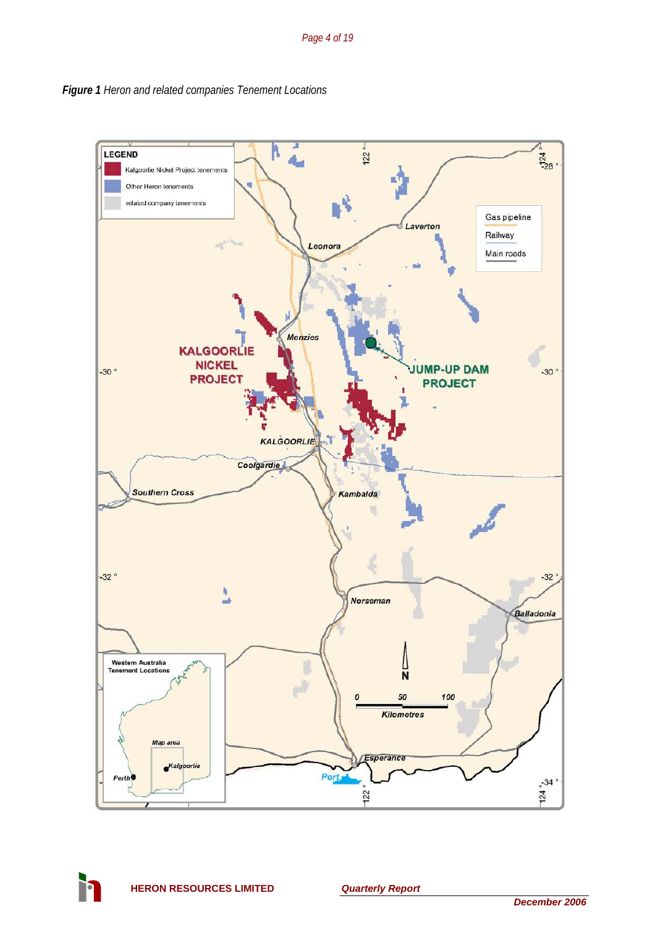

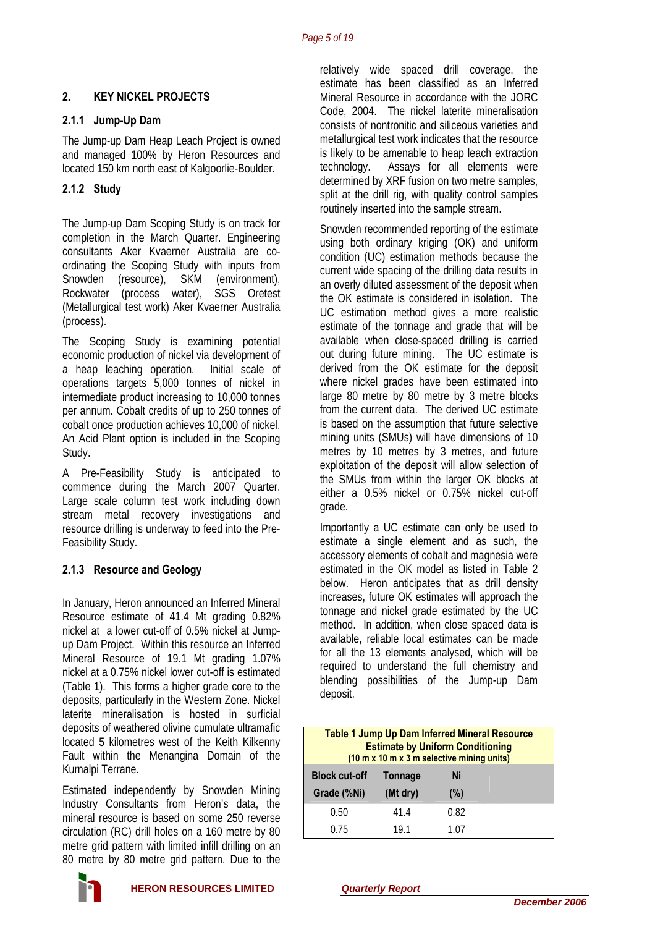# **2. KEY NICKEL PROJECTS**

#### **2.1.1 Jump-Up Dam**

The Jump-up Dam Heap Leach Project is owned and managed 100% by Heron Resources and located 150 km north east of Kalgoorlie-Boulder.

## **2.1.2 Study**

The Jump-up Dam Scoping Study is on track for completion in the March Quarter. Engineering consultants Aker Kvaerner Australia are coordinating the Scoping Study with inputs from Snowden (resource), SKM (environment), Rockwater (process water), SGS Oretest (Metallurgical test work) Aker Kvaerner Australia (process).

The Scoping Study is examining potential economic production of nickel via development of a heap leaching operation. Initial scale of operations targets 5,000 tonnes of nickel in intermediate product increasing to 10,000 tonnes per annum. Cobalt credits of up to 250 tonnes of cobalt once production achieves 10,000 of nickel. An Acid Plant option is included in the Scoping Study.

A Pre-Feasibility Study is anticipated to commence during the March 2007 Quarter. Large scale column test work including down stream metal recovery investigations and resource drilling is underway to feed into the Pre-Feasibility Study.

### **2.1.3 Resource and Geology**

In January, Heron announced an Inferred Mineral Resource estimate of 41.4 Mt grading 0.82% nickel at a lower cut-off of 0.5% nickel at Jumpup Dam Project. Within this resource an Inferred Mineral Resource of 19.1 Mt grading 1.07% nickel at a 0.75% nickel lower cut-off is estimated (Table 1). This forms a higher grade core to the deposits, particularly in the Western Zone. Nickel laterite mineralisation is hosted in surficial deposits of weathered olivine cumulate ultramafic located 5 kilometres west of the Keith Kilkenny Fault within the Menangina Domain of the Kurnalpi Terrane.

Estimated independently by Snowden Mining Industry Consultants from Heron's data, the mineral resource is based on some 250 reverse circulation (RC) drill holes on a 160 metre by 80 metre grid pattern with limited infill drilling on an 80 metre by 80 metre grid pattern. Due to the



relatively wide spaced drill coverage, the estimate has been classified as an Inferred Mineral Resource in accordance with the JORC Code, 2004. The nickel laterite mineralisation consists of nontronitic and siliceous varieties and metallurgical test work indicates that the resource is likely to be amenable to heap leach extraction technology. Assays for all elements were determined by XRF fusion on two metre samples, split at the drill rig, with quality control samples routinely inserted into the sample stream.

Snowden recommended reporting of the estimate using both ordinary kriging (OK) and uniform condition (UC) estimation methods because the current wide spacing of the drilling data results in an overly diluted assessment of the deposit when the OK estimate is considered in isolation. The UC estimation method gives a more realistic estimate of the tonnage and grade that will be available when close-spaced drilling is carried out during future mining. The UC estimate is derived from the OK estimate for the deposit where nickel grades have been estimated into large 80 metre by 80 metre by 3 metre blocks from the current data. The derived UC estimate is based on the assumption that future selective mining units (SMUs) will have dimensions of 10 metres by 10 metres by 3 metres, and future exploitation of the deposit will allow selection of the SMUs from within the larger OK blocks at either a 0.5% nickel or 0.75% nickel cut-off grade.

Importantly a UC estimate can only be used to estimate a single element and as such, the accessory elements of cobalt and magnesia were estimated in the OK model as listed in Table 2 below. Heron anticipates that as drill density increases, future OK estimates will approach the tonnage and nickel grade estimated by the UC method. In addition, when close spaced data is available, reliable local estimates can be made for all the 13 elements analysed, which will be required to understand the full chemistry and blending possibilities of the Jump-up Dam deposit.

| <b>Table 1 Jump Up Dam Inferred Mineral Resource</b><br><b>Estimate by Uniform Conditioning</b><br>(10 m x 10 m x 3 m selective mining units) |                |         |  |  |  |
|-----------------------------------------------------------------------------------------------------------------------------------------------|----------------|---------|--|--|--|
| <b>Block cut-off</b>                                                                                                                          | <b>Tonnage</b> | Ni      |  |  |  |
| Grade (%Ni)                                                                                                                                   | (Mt dry)       | $(\% )$ |  |  |  |
| 0.50                                                                                                                                          | 41.4           | 0.82    |  |  |  |
| 0.75                                                                                                                                          | 19 1           | 1 07    |  |  |  |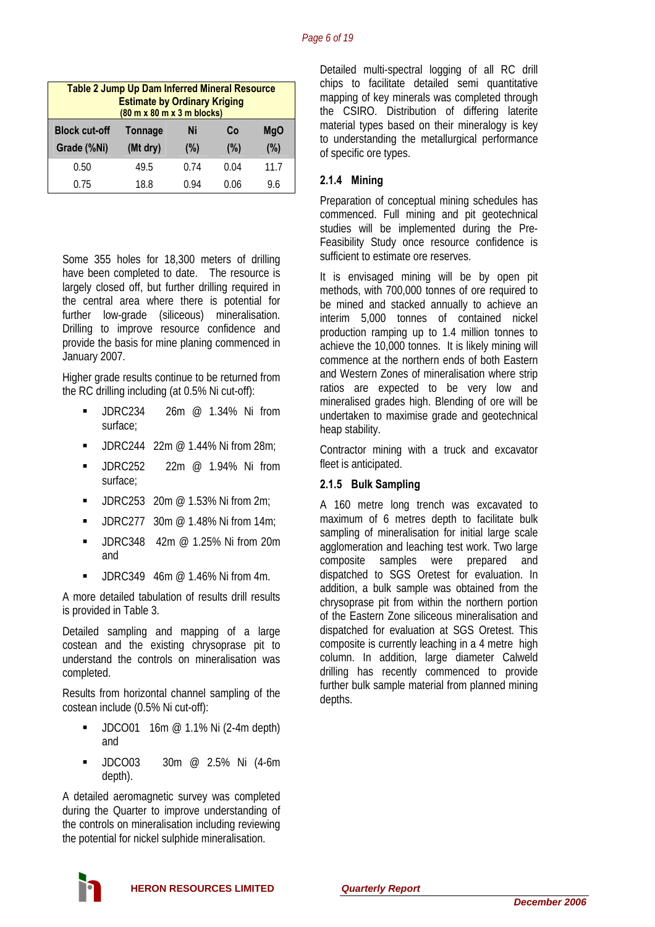| <b>Table 2 Jump Up Dam Inferred Mineral Resource</b><br><b>Estimate by Ordinary Kriging</b><br>$(80 \text{ m} \times 80 \text{ m} \times 3 \text{ m} \text{ blocks})$ |                                          |      |      |      |  |  |
|-----------------------------------------------------------------------------------------------------------------------------------------------------------------------|------------------------------------------|------|------|------|--|--|
| <b>Block cut-off</b>                                                                                                                                                  | Co<br><b>MgO</b><br><b>Tonnage</b><br>Ni |      |      |      |  |  |
| Grade (%Ni)                                                                                                                                                           | (Mt dry)                                 | (%)  | (%)  | (%)  |  |  |
| 0.50                                                                                                                                                                  | 49.5                                     | 0.74 | 0.04 | 11.7 |  |  |
| 0.75                                                                                                                                                                  | 18.8                                     | 0.94 | 0.06 | 9.6  |  |  |

Some 355 holes for 18,300 meters of drilling have been completed to date. The resource is largely closed off, but further drilling required in the central area where there is potential for further low-grade (siliceous) mineralisation. Drilling to improve resource confidence and provide the basis for mine planing commenced in January 2007.

Higher grade results continue to be returned from the RC drilling including (at 0.5% Ni cut-off):

- JDRC234 26m @ 1.34% Ni from surface;
- JDRC244 22m @ 1.44% Ni from 28m;
- **JDRC252** 22m @ 1.94% Ni from surface;
- $\blacksquare$  JDRC253 20m @ 1.53% Ni from 2m;
- **JDRC277** 30m  $\textcircled{2}$  1.48% Ni from 14m;
- $\blacksquare$  IDRC348 42m @ 1.25% Ni from 20m and
- $\blacksquare$  JDRC349 46m @ 1.46% Ni from 4m.

A more detailed tabulation of results drill results is provided in Table 3.

Detailed sampling and mapping of a large costean and the existing chrysoprase pit to understand the controls on mineralisation was completed.

Results from horizontal channel sampling of the costean include (0.5% Ni cut-off):

- **JDCO01** 16m  $\textcircled{2}$  1.1% Ni (2-4m depth) and
- JDCO03 30m @ 2.5% Ni (4-6m depth).

A detailed aeromagnetic survey was completed during the Quarter to improve understanding of the controls on mineralisation including reviewing the potential for nickel sulphide mineralisation.

Detailed multi-spectral logging of all RC drill chips to facilitate detailed semi quantitative mapping of key minerals was completed through the CSIRO. Distribution of differing laterite material types based on their mineralogy is key to understanding the metallurgical performance of specific ore types.

# **2.1.4 Mining**

Preparation of conceptual mining schedules has commenced. Full mining and pit geotechnical studies will be implemented during the Pre-Feasibility Study once resource confidence is sufficient to estimate ore reserves.

It is envisaged mining will be by open pit methods, with 700,000 tonnes of ore required to be mined and stacked annually to achieve an interim 5,000 tonnes of contained nickel production ramping up to 1.4 million tonnes to achieve the 10,000 tonnes. It is likely mining will commence at the northern ends of both Eastern and Western Zones of mineralisation where strip ratios are expected to be very low and mineralised grades high. Blending of ore will be undertaken to maximise grade and geotechnical heap stability.

Contractor mining with a truck and excavator fleet is anticipated.

### **2.1.5 Bulk Sampling**

A 160 metre long trench was excavated to maximum of 6 metres depth to facilitate bulk sampling of mineralisation for initial large scale agglomeration and leaching test work. Two large composite samples were prepared and dispatched to SGS Oretest for evaluation. In addition, a bulk sample was obtained from the chrysoprase pit from within the northern portion of the Eastern Zone siliceous mineralisation and dispatched for evaluation at SGS Oretest. This composite is currently leaching in a 4 metre high column. In addition, large diameter Calweld drilling has recently commenced to provide further bulk sample material from planned mining depths.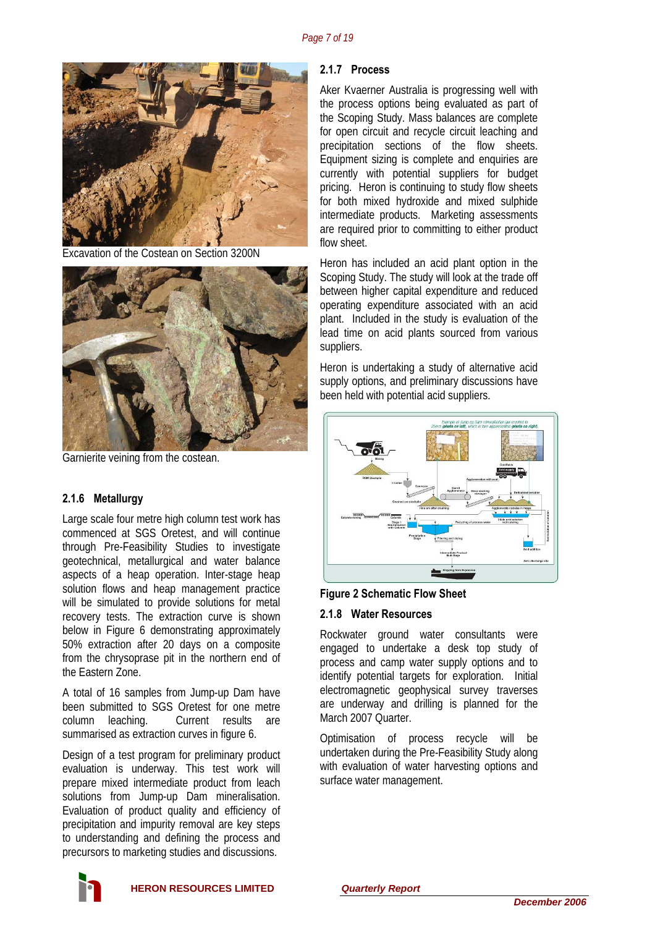

Excavation of the Costean on Section 3200N



Garnierite veining from the costean.

### **2.1.6 Metallurgy**

Large scale four metre high column test work has commenced at SGS Oretest, and will continue through Pre-Feasibility Studies to investigate geotechnical, metallurgical and water balance aspects of a heap operation. Inter-stage heap solution flows and heap management practice will be simulated to provide solutions for metal recovery tests. The extraction curve is shown below in Figure 6 demonstrating approximately 50% extraction after 20 days on a composite from the chrysoprase pit in the northern end of the Eastern Zone.

A total of 16 samples from Jump-up Dam have been submitted to SGS Oretest for one metre column leaching. Current results are summarised as extraction curves in figure 6.

Design of a test program for preliminary product evaluation is underway. This test work will prepare mixed intermediate product from leach solutions from Jump-up Dam mineralisation. Evaluation of product quality and efficiency of precipitation and impurity removal are key steps to understanding and defining the process and precursors to marketing studies and discussions.

#### **2.1.7 Process**

Aker Kvaerner Australia is progressing well with the process options being evaluated as part of the Scoping Study. Mass balances are complete for open circuit and recycle circuit leaching and precipitation sections of the flow sheets. Equipment sizing is complete and enquiries are currently with potential suppliers for budget pricing. Heron is continuing to study flow sheets for both mixed hydroxide and mixed sulphide intermediate products. Marketing assessments are required prior to committing to either product flow sheet.

Heron has included an acid plant option in the Scoping Study. The study will look at the trade off between higher capital expenditure and reduced operating expenditure associated with an acid plant. Included in the study is evaluation of the lead time on acid plants sourced from various suppliers.

Heron is undertaking a study of alternative acid supply options, and preliminary discussions have been held with potential acid suppliers.



#### **Figure 2 Schematic Flow Sheet**

#### **2.1.8 Water Resources**

Rockwater ground water consultants were engaged to undertake a desk top study of process and camp water supply options and to identify potential targets for exploration. Initial electromagnetic geophysical survey traverses are underway and drilling is planned for the March 2007 Quarter.

Optimisation of process recycle will be undertaken during the Pre-Feasibility Study along with evaluation of water harvesting options and surface water management.

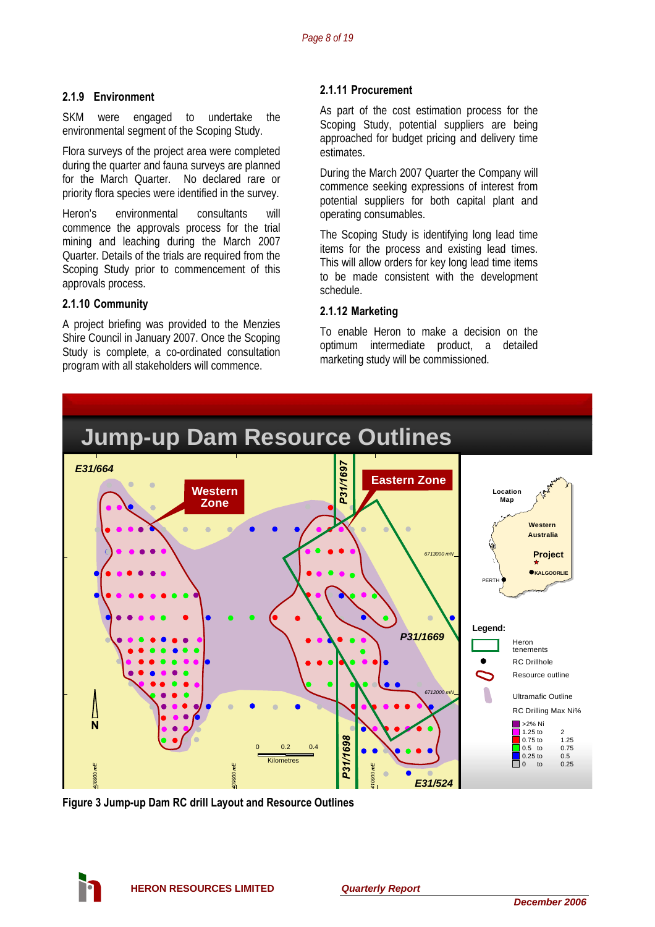SKM were engaged to undertake the environmental segment of the Scoping Study.

Flora surveys of the project area were completed during the quarter and fauna surveys are planned for the March Quarter. No declared rare or priority flora species were identified in the survey.

Heron's environmental consultants will operating consumables. commence the approvals process for the trial mining and leaching during the March 2007 Quarter. Details of the trials are required from the Scoping Study prior to commencement of this approvals process.

# **2.1.10 Community 2.1.12 Marketing**

A project briefing was provided to the Menzies Shire Council in January 2007. Once the Scoping Study is complete, a co-ordinated consultation program with all stakeholders will commence.

# **2.1.11 Procurement 2.1.9 Environment**

As part of the cost estimation process for the Scoping Study, potential suppliers are being approached for budget pricing and delivery time estimates.

During the March 2007 Quarter the Company will commence seeking expressions of interest from potential suppliers for both capital plant and

The Scoping Study is identifying long lead time items for the process and existing lead times. This will allow orders for key long lead time items to be made consistent with the development schedule.

To enable Heron to make a decision on the optimum intermediate product, a detailed marketing study will be commissioned.



**Figure 3 Jump-up Dam RC drill Layout and Resource Outlines** 

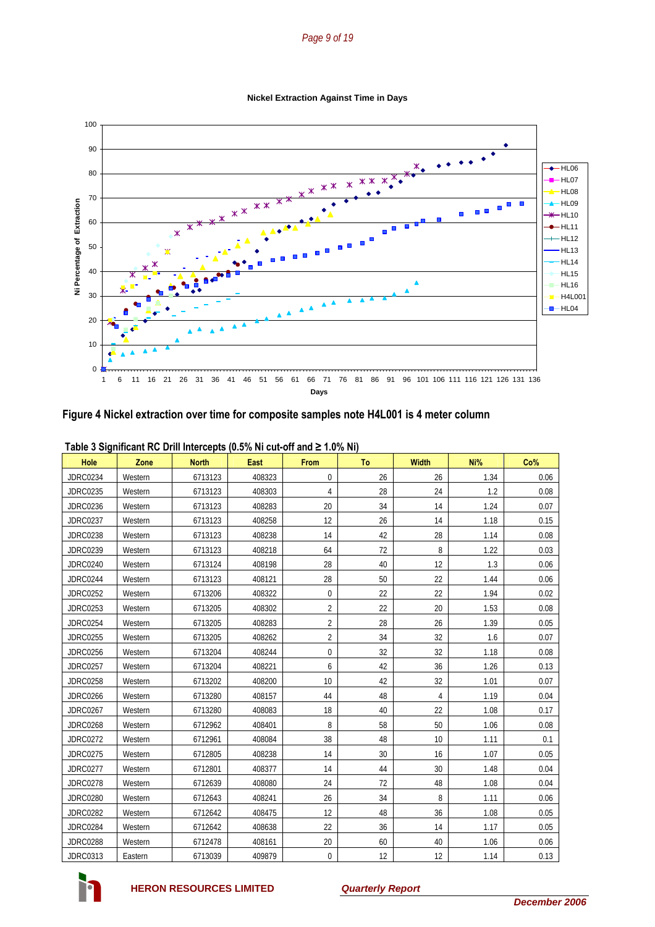#### *Page 9 of 19*

**Nickel Extraction Against Time in Days**



#### **Figure 4 Nickel extraction over time for composite samples note H4L001 is 4 meter column**

| Hole            | Zone    | <b>North</b> | <b>East</b> | <b>From</b>    | To | <b>Width</b> | Ni%  | Co%  |
|-----------------|---------|--------------|-------------|----------------|----|--------------|------|------|
| <b>JDRC0234</b> | Western | 6713123      | 408323      | $\pmb{0}$      | 26 | 26           | 1.34 | 0.06 |
| <b>JDRC0235</b> | Western | 6713123      | 408303      | 4              | 28 | 24           | 1.2  | 0.08 |
| <b>JDRC0236</b> | Western | 6713123      | 408283      | 20             | 34 | 14           | 1.24 | 0.07 |
| <b>JDRC0237</b> | Western | 6713123      | 408258      | 12             | 26 | 14           | 1.18 | 0.15 |
| <b>JDRC0238</b> | Western | 6713123      | 408238      | 14             | 42 | 28           | 1.14 | 0.08 |
| <b>JDRC0239</b> | Western | 6713123      | 408218      | 64             | 72 | 8            | 1.22 | 0.03 |
| <b>JDRC0240</b> | Western | 6713124      | 408198      | 28             | 40 | 12           | 1.3  | 0.06 |
| <b>JDRC0244</b> | Western | 6713123      | 408121      | 28             | 50 | 22           | 1.44 | 0.06 |
| <b>JDRC0252</b> | Western | 6713206      | 408322      | $\pmb{0}$      | 22 | 22           | 1.94 | 0.02 |
| <b>JDRC0253</b> | Western | 6713205      | 408302      | $\overline{2}$ | 22 | 20           | 1.53 | 0.08 |
| <b>JDRC0254</b> | Western | 6713205      | 408283      | $\overline{2}$ | 28 | 26           | 1.39 | 0.05 |
| <b>JDRC0255</b> | Western | 6713205      | 408262      | $\overline{2}$ | 34 | 32           | 1.6  | 0.07 |
| <b>JDRC0256</b> | Western | 6713204      | 408244      | $\pmb{0}$      | 32 | 32           | 1.18 | 0.08 |
| <b>JDRC0257</b> | Western | 6713204      | 408221      | 6              | 42 | 36           | 1.26 | 0.13 |
| <b>JDRC0258</b> | Western | 6713202      | 408200      | 10             | 42 | 32           | 1.01 | 0.07 |
| <b>JDRC0266</b> | Western | 6713280      | 408157      | 44             | 48 | 4            | 1.19 | 0.04 |
| <b>JDRC0267</b> | Western | 6713280      | 408083      | 18             | 40 | 22           | 1.08 | 0.17 |
| <b>JDRC0268</b> | Western | 6712962      | 408401      | 8              | 58 | 50           | 1.06 | 0.08 |
| <b>JDRC0272</b> | Western | 6712961      | 408084      | 38             | 48 | 10           | 1.11 | 0.1  |
| <b>JDRC0275</b> | Western | 6712805      | 408238      | 14             | 30 | 16           | 1.07 | 0.05 |
| <b>JDRC0277</b> | Western | 6712801      | 408377      | 14             | 44 | 30           | 1.48 | 0.04 |
| <b>JDRC0278</b> | Western | 6712639      | 408080      | 24             | 72 | 48           | 1.08 | 0.04 |
| <b>JDRC0280</b> | Western | 6712643      | 408241      | 26             | 34 | 8            | 1.11 | 0.06 |
| <b>JDRC0282</b> | Western | 6712642      | 408475      | 12             | 48 | 36           | 1.08 | 0.05 |
| <b>JDRC0284</b> | Western | 6712642      | 408638      | 22             | 36 | 14           | 1.17 | 0.05 |
| <b>JDRC0288</b> | Western | 6712478      | 408161      | 20             | 60 | 40           | 1.06 | 0.06 |
| <b>JDRC0313</b> | Eastern | 6713039      | 409879      | 0              | 12 | 12           | 1.14 | 0.13 |

#### **Table 3 Significant RC Drill Intercepts (0.5% Ni cut-off and ≥ 1.0% Ni)**

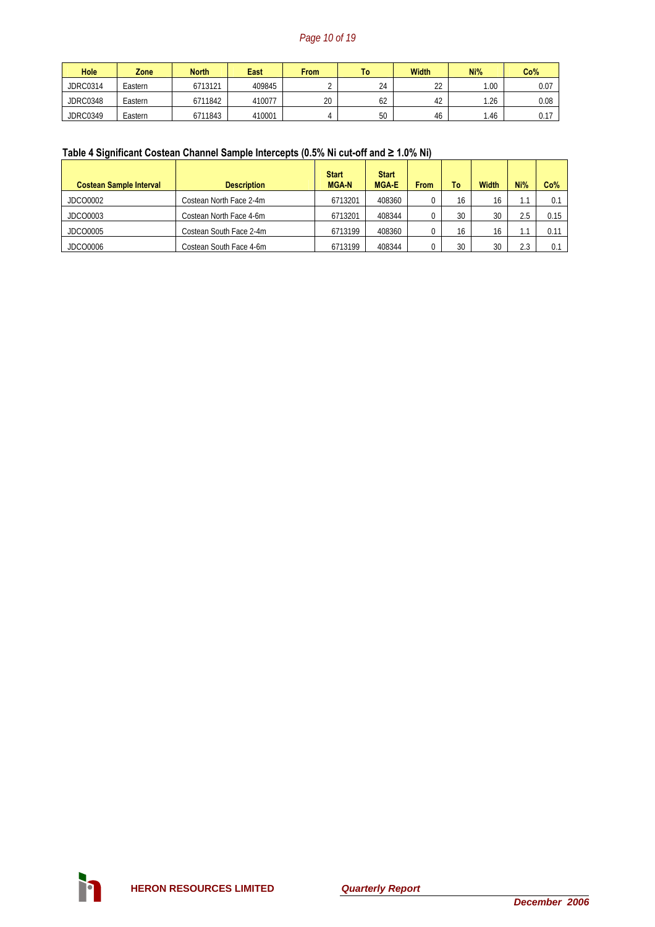# *Page 10 of 19*

| <b>Hole</b>     | Zone    | <b>North</b> | East   | <b>From</b> | I٥ | Width    | Ni%  | Co%  |
|-----------------|---------|--------------|--------|-------------|----|----------|------|------|
| JDRC0314        | Eastern | 6713121      | 409845 |             | 24 | າາ<br>∠∠ | .00  | 0.07 |
| <b>JDRC0348</b> | Eastern | 6711842      | 410077 | 20          | 62 | 42       | 1.26 | 0.08 |
| <b>JDRC0349</b> | Eastern | 6711843      | 410001 |             | 50 | 46       | .46  | 0.17 |

# **Table 4 Significant Costean Channel Sample Intercepts (0.5% Ni cut-off and ≥ 1.0% Ni)**

| <b>Costean Sample Interval</b> | <b>Description</b>      | <b>Start</b><br><b>MGAN</b> | <b>Start</b><br><b>MGA E</b> | <b>From</b> | To | <b>Width</b> | Ni% | Co%  |
|--------------------------------|-------------------------|-----------------------------|------------------------------|-------------|----|--------------|-----|------|
| JDCO0002                       | Costean North Face 2-4m | 6713201                     | 408360                       |             | 16 | 16           | 1.1 | 0.1  |
| JDCO0003                       | Costean North Face 4-6m | 6713201                     | 408344                       |             | 30 | 30           | 2.5 | 0.15 |
| JDCO0005                       | Costean South Face 2-4m | 6713199                     | 408360                       |             | 16 | 16           | IJ  | 0.11 |
| JDCO0006                       | Costean South Face 4-6m | 6713199                     | 408344                       |             | 30 | 30           | 2.3 |      |

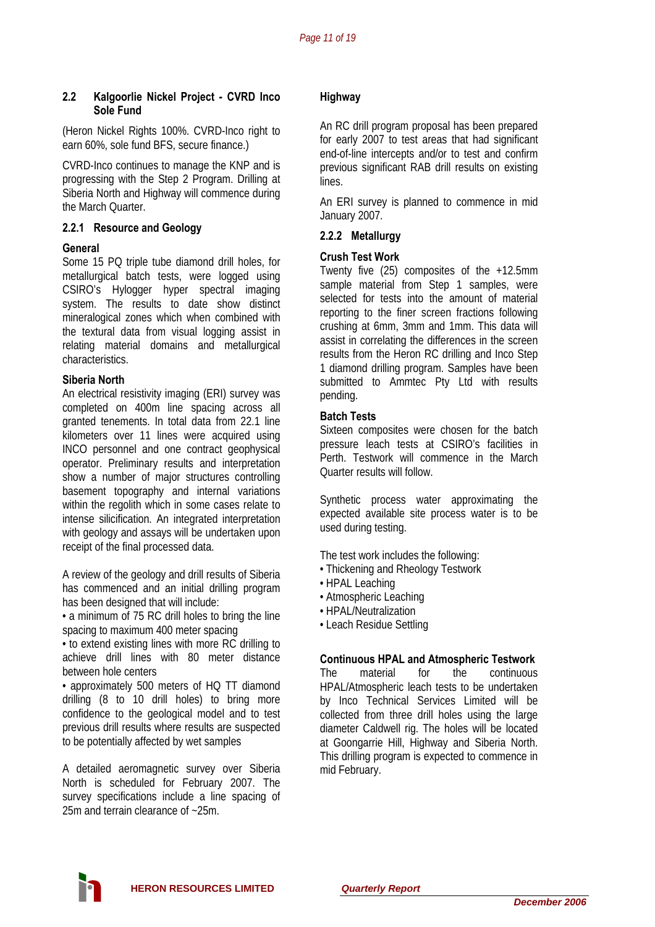#### **2.2 Kalgoorlie Nickel Project - CVRD Inco Sole Fund**

(Heron Nickel Rights 100%. CVRD-Inco right to earn 60%, sole fund BFS, secure finance.)

CVRD-Inco continues to manage the KNP and is progressing with the Step 2 Program. Drilling at Siberia North and Highway will commence during the March Quarter.

#### **2.2.1 Resource and Geology**

#### **General**

Some 15 PQ triple tube diamond drill holes, for metallurgical batch tests, were logged using CSIRO's Hylogger hyper spectral imaging system. The results to date show distinct mineralogical zones which when combined with the textural data from visual logging assist in relating material domains and metallurgical characteristics.

#### **Siberia North**

An electrical resistivity imaging (ERI) survey was completed on 400m line spacing across all granted tenements. In total data from 22.1 line kilometers over 11 lines were acquired using INCO personnel and one contract geophysical operator. Preliminary results and interpretation show a number of major structures controlling basement topography and internal variations within the regolith which in some cases relate to intense silicification. An integrated interpretation with geology and assays will be undertaken upon receipt of the final processed data.

A review of the geology and drill results of Siberia has commenced and an initial drilling program has been designed that will include:

• a minimum of 75 RC drill holes to bring the line spacing to maximum 400 meter spacing

• to extend existing lines with more RC drilling to achieve drill lines with 80 meter distance between hole centers

• approximately 500 meters of HQ TT diamond drilling (8 to 10 drill holes) to bring more confidence to the geological model and to test previous drill results where results are suspected to be potentially affected by wet samples

A detailed aeromagnetic survey over Siberia North is scheduled for February 2007. The survey specifications include a line spacing of 25m and terrain clearance of ~25m.

#### **Highway**

An RC drill program proposal has been prepared for early 2007 to test areas that had significant end-of-line intercepts and/or to test and confirm previous significant RAB drill results on existing lines.

An ERI survey is planned to commence in mid January 2007.

#### **2.2.2 Metallurgy**

#### **Crush Test Work**

Twenty five (25) composites of the +12.5mm sample material from Step 1 samples, were selected for tests into the amount of material reporting to the finer screen fractions following crushing at 6mm, 3mm and 1mm. This data will assist in correlating the differences in the screen results from the Heron RC drilling and Inco Step 1 diamond drilling program. Samples have been submitted to Ammtec Pty Ltd with results pending.

#### **Batch Tests**

Sixteen composites were chosen for the batch pressure leach tests at CSIRO's facilities in Perth. Testwork will commence in the March Quarter results will follow.

Synthetic process water approximating the expected available site process water is to be used during testing.

The test work includes the following:

- Thickening and Rheology Testwork
- HPAL Leaching
- Atmospheric Leaching
- HPAL/Neutralization
- Leach Residue Settling

#### **Continuous HPAL and Atmospheric Testwork**

The material for the continuous HPAL/Atmospheric leach tests to be undertaken by Inco Technical Services Limited will be collected from three drill holes using the large diameter Caldwell rig. The holes will be located at Goongarrie Hill, Highway and Siberia North. This drilling program is expected to commence in mid February.

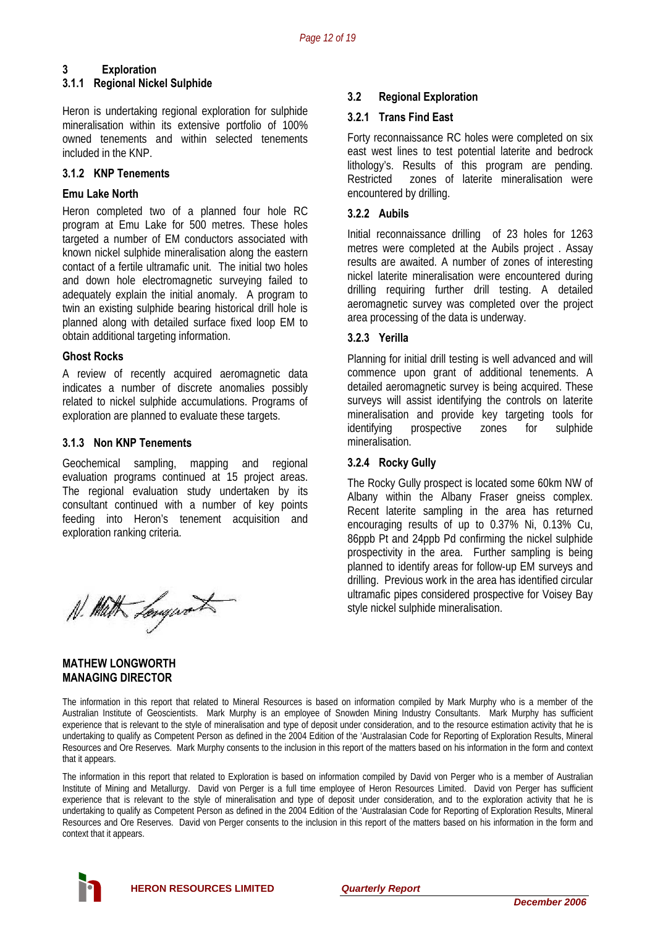# **3 Exploration**

#### **3.1.1 Regional Nickel Sulphide**

Heron is undertaking regional exploration for sulphide mineralisation within its extensive portfolio of 100% owned tenements and within selected tenements included in the KNP.

#### **3.1.2 KNP Tenements**

#### **Emu Lake North**

Heron completed two of a planned four hole RC program at Emu Lake for 500 metres. These holes targeted a number of EM conductors associated with known nickel sulphide mineralisation along the eastern contact of a fertile ultramafic unit. The initial two holes and down hole electromagnetic surveying failed to adequately explain the initial anomaly. A program to twin an existing sulphide bearing historical drill hole is planned along with detailed surface fixed loop EM to obtain additional targeting information.

A review of recently acquired aeromagnetic data indicates a number of discrete anomalies possibly related to nickel sulphide accumulations. Programs of exploration are planned to evaluate these targets.

#### **3.1.3 Non KNP Tenements**

Geochemical sampling, mapping and regional **3.2.4 Rocky Gully**  evaluation programs continued at 15 project areas. The regional evaluation study undertaken by its consultant continued with a number of key points feeding into Heron's tenement acquisition and exploration ranking criteria.

N. Math Longwork

#### **MATHEW LONGWORTH MANAGING DIRECTOR**

### **3.2 Regional Exploration**

### **3.2.1 Trans Find East**

Forty reconnaissance RC holes were completed on six east west lines to test potential laterite and bedrock lithology's. Results of this program are pending. Restricted zones of laterite mineralisation were encountered by drilling.

### **3.2.2 Aubils**

Initial reconnaissance drilling of 23 holes for 1263 metres were completed at the Aubils project . Assay results are awaited. A number of zones of interesting nickel laterite mineralisation were encountered during drilling requiring further drill testing. A detailed aeromagnetic survey was completed over the project area processing of the data is underway.

# **3.2.3 Yerilla**

**Ghost Rocks Chost Rocks Planning for initial drill testing is well advanced and will** commence upon grant of additional tenements. A detailed aeromagnetic survey is being acquired. These surveys will assist identifying the controls on laterite mineralisation and provide key targeting tools for identifying prospective zones for sulphide mineralisation.

The Rocky Gully prospect is located some 60km NW of Albany within the Albany Fraser gneiss complex. Recent laterite sampling in the area has returned encouraging results of up to 0.37% Ni, 0.13% Cu, 86ppb Pt and 24ppb Pd confirming the nickel sulphide prospectivity in the area. Further sampling is being planned to identify areas for follow-up EM surveys and drilling. Previous work in the area has identified circular ultramafic pipes considered prospective for Voisey Bay style nickel sulphide mineralisation.

The information in this report that related to Mineral Resources is based on information compiled by Mark Murphy who is a member of the Australian Institute of Geoscientists. Mark Murphy is an employee of Snowden Mining Industry Consultants. Mark Murphy has sufficient experience that is relevant to the style of mineralisation and type of deposit under consideration, and to the resource estimation activity that he is undertaking to qualify as Competent Person as defined in the 2004 Edition of the 'Australasian Code for Reporting of Exploration Results, Mineral Resources and Ore Reserves. Mark Murphy consents to the inclusion in this report of the matters based on his information in the form and context that it appears.

The information in this report that related to Exploration is based on information compiled by David von Perger who is a member of Australian Institute of Mining and Metallurgy. David von Perger is a full time employee of Heron Resources Limited. David von Perger has sufficient experience that is relevant to the style of mineralisation and type of deposit under consideration, and to the exploration activity that he is undertaking to qualify as Competent Person as defined in the 2004 Edition of the 'Australasian Code for Reporting of Exploration Results, Mineral Resources and Ore Reserves. David von Perger consents to the inclusion in this report of the matters based on his information in the form and context that it appears.

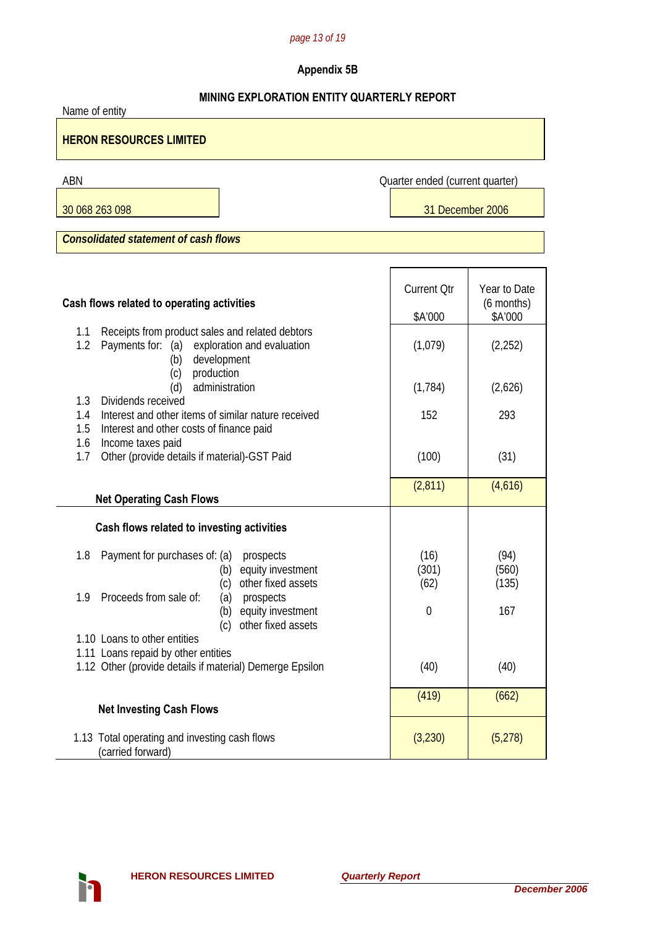# *page 13 of 19*

# **Appendix 5B**

# **MINING EXPLORATION ENTITY QUARTERLY REPORT**

| Name of entity                                                                                                                             |                                 |                        |  |  |  |  |
|--------------------------------------------------------------------------------------------------------------------------------------------|---------------------------------|------------------------|--|--|--|--|
| <b>HERON RESOURCES LIMITED</b>                                                                                                             |                                 |                        |  |  |  |  |
| ABN                                                                                                                                        | Quarter ended (current quarter) |                        |  |  |  |  |
| 30 068 263 098                                                                                                                             | 31 December 2006                |                        |  |  |  |  |
| <b>Consolidated statement of cash flows</b>                                                                                                |                                 |                        |  |  |  |  |
|                                                                                                                                            |                                 |                        |  |  |  |  |
|                                                                                                                                            | <b>Current Qtr</b>              | Year to Date           |  |  |  |  |
| Cash flows related to operating activities                                                                                                 | \$A'000                         | (6 months)<br>\$A'000  |  |  |  |  |
| Receipts from product sales and related debtors<br>1.1<br>1.2<br>Payments for: (a)<br>exploration and evaluation<br>development<br>(b)     | (1,079)                         | (2, 252)               |  |  |  |  |
| production<br>(c)<br>administration<br>(d)                                                                                                 | (1, 784)                        | (2,626)                |  |  |  |  |
| Dividends received<br>1.3<br>Interest and other items of similar nature received<br>1.4<br>1.5<br>Interest and other costs of finance paid | 152                             | 293                    |  |  |  |  |
| 1.6<br>Income taxes paid<br>Other (provide details if material)-GST Paid<br>1.7                                                            | (100)                           | (31)                   |  |  |  |  |
| <b>Net Operating Cash Flows</b>                                                                                                            | (2,811)                         | (4,616)                |  |  |  |  |
| Cash flows related to investing activities                                                                                                 |                                 |                        |  |  |  |  |
|                                                                                                                                            |                                 |                        |  |  |  |  |
| 1.8<br>Payment for purchases of: (a)<br>prospects<br>equity investment<br>(b)<br>other fixed assets<br>(c)                                 | (16)<br>(301)<br>(62)           | (94)<br>(560)<br>(135) |  |  |  |  |
| 1.9 Proceeds from sale of:<br>(a)<br>prospects<br>equity investment<br>(b)<br>other fixed assets<br>(c)                                    | $\overline{0}$                  | 167                    |  |  |  |  |
| 1.10 Loans to other entities                                                                                                               |                                 |                        |  |  |  |  |
| 1.11 Loans repaid by other entities<br>1.12 Other (provide details if material) Demerge Epsilon                                            | (40)                            | (40)                   |  |  |  |  |
| <b>Net Investing Cash Flows</b>                                                                                                            | (419)                           | (662)                  |  |  |  |  |
| 1.13 Total operating and investing cash flows<br>(carried forward)                                                                         | (3, 230)                        | (5,278)                |  |  |  |  |

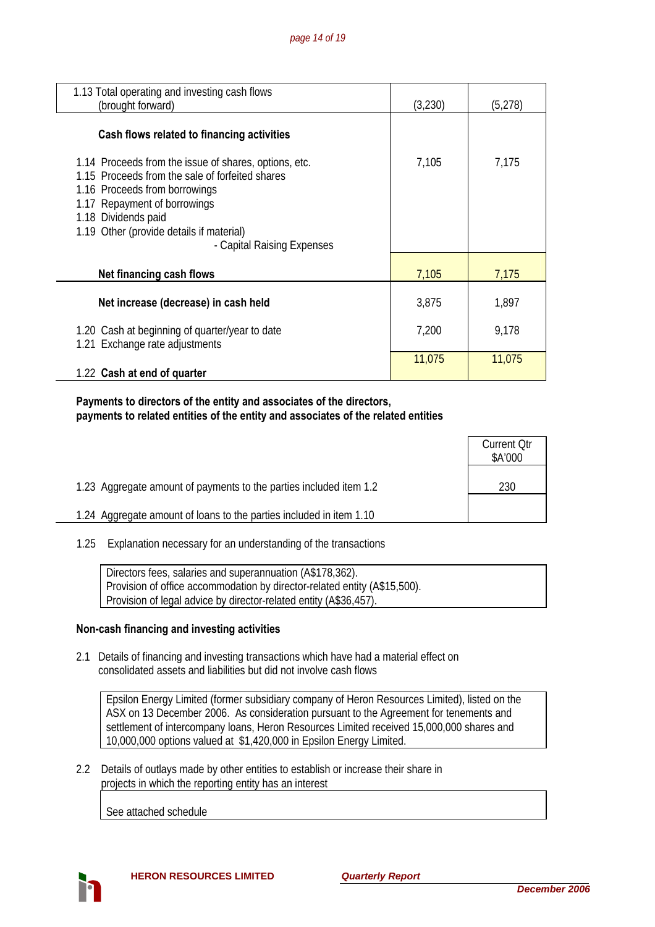| 1.13 Total operating and investing cash flows<br>(brought forward)                                                                                                                                                                                                         | (3,230) | (5,278) |
|----------------------------------------------------------------------------------------------------------------------------------------------------------------------------------------------------------------------------------------------------------------------------|---------|---------|
| Cash flows related to financing activities                                                                                                                                                                                                                                 |         |         |
| 1.14 Proceeds from the issue of shares, options, etc.<br>1.15 Proceeds from the sale of forfeited shares<br>1.16 Proceeds from borrowings<br>1.17 Repayment of borrowings<br>1.18 Dividends paid<br>1.19 Other (provide details if material)<br>- Capital Raising Expenses | 7,105   | 7,175   |
| Net financing cash flows                                                                                                                                                                                                                                                   | 7,105   | 7,175   |
| Net increase (decrease) in cash held                                                                                                                                                                                                                                       | 3,875   | 1,897   |
| 1.20 Cash at beginning of quarter/year to date<br>1.21 Exchange rate adjustments                                                                                                                                                                                           | 7,200   | 9,178   |
| 1.22 Cash at end of quarter                                                                                                                                                                                                                                                | 11,075  | 11,075  |

### **Payments to directors of the entity and associates of the directors, payments to related entities of the entity and associates of the related entities**

|                                                                     | <b>Current Qtr</b><br>\$A'000 |
|---------------------------------------------------------------------|-------------------------------|
| 1.23 Aggregate amount of payments to the parties included item 1.2  | 230                           |
| 1.24 Aggregate amount of loans to the parties included in item 1.10 |                               |

1.25 Explanation necessary for an understanding of the transactions

| Directors fees, salaries and superannuation (A\$178,362).                 |
|---------------------------------------------------------------------------|
| Provision of office accommodation by director-related entity (A\$15,500). |
| Provision of legal advice by director-related entity (A\$36,457).         |

#### **Non-cash financing and investing activities**

 2.1 Details of financing and investing transactions which have had a material effect on consolidated assets and liabilities but did not involve cash flows

Epsilon Energy Limited (former subsidiary company of Heron Resources Limited), listed on the ASX on 13 December 2006. As consideration pursuant to the Agreement for tenements and settlement of intercompany loans, Heron Resources Limited received 15,000,000 shares and 10,000,000 options valued at \$1,420,000 in Epsilon Energy Limited.

 2.2 Details of outlays made by other entities to establish or increase their share in projects in which the reporting entity has an interest

See attached schedule

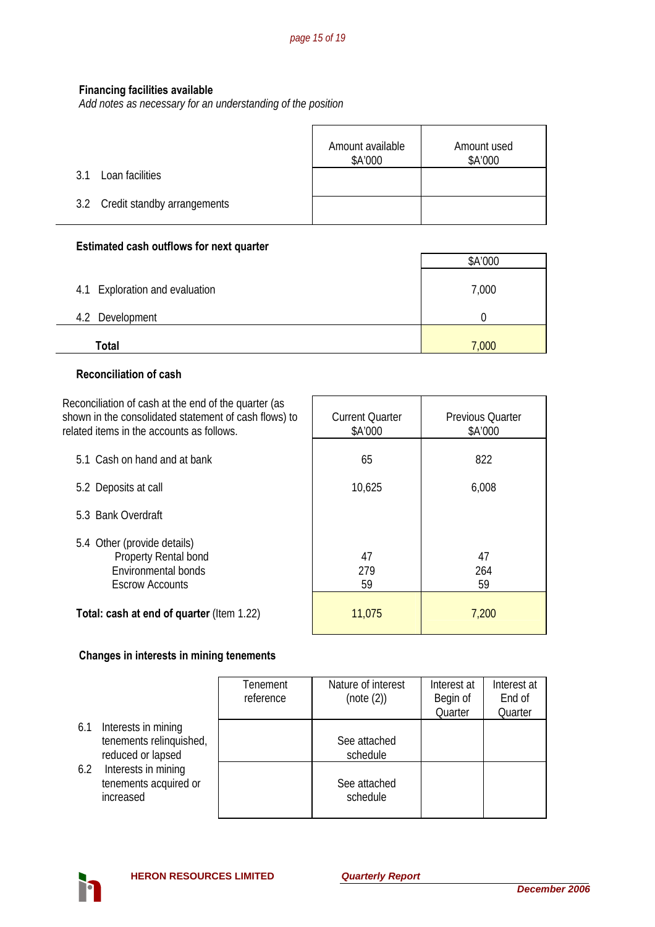# **Financing facilities available**

*Add notes as necessary for an understanding of the position*

|                                 | Amount available<br>\$A'000 | Amount used<br>\$A'000 |
|---------------------------------|-----------------------------|------------------------|
| Loan facilities<br>31           |                             |                        |
| 3.2 Credit standby arrangements |                             |                        |

# **Estimated cash outflows for next quarter**

|                                | \$A'000 |
|--------------------------------|---------|
| 4.1 Exploration and evaluation | 7,000   |
| 4.2 Development                |         |
| Total                          | 7,000   |

### **Reconciliation of cash**

| Reconciliation of cash at the end of the quarter (as<br>shown in the consolidated statement of cash flows) to<br>related items in the accounts as follows. | <b>Current Quarter</b><br>\$A'000 | <b>Previous Quarter</b><br>\$A'000 |
|------------------------------------------------------------------------------------------------------------------------------------------------------------|-----------------------------------|------------------------------------|
| 5.1 Cash on hand and at bank                                                                                                                               | 65                                | 822                                |
| 5.2 Deposits at call                                                                                                                                       | 10,625                            | 6,008                              |
| 5.3 Bank Overdraft                                                                                                                                         |                                   |                                    |
| 5.4 Other (provide details)<br>Property Rental bond<br>Environmental bonds<br><b>Escrow Accounts</b>                                                       | 47<br>279<br>59                   | 47<br>264<br>59                    |
| <b>Total: cash at end of quarter (Item 1.22)</b>                                                                                                           | 11,075                            | 7,200                              |

# **Changes in interests in mining tenements**

|     |                                                                     | Tenement<br>reference | Nature of interest<br>(note (2)) | Interest at<br>Begin of | Interest at<br>End of |
|-----|---------------------------------------------------------------------|-----------------------|----------------------------------|-------------------------|-----------------------|
|     |                                                                     |                       |                                  | Quarter                 | Quarter               |
| 6.1 | Interests in mining<br>tenements relinquished,<br>reduced or lapsed |                       | See attached<br>schedule         |                         |                       |
| 6.2 | Interests in mining<br>tenements acquired or<br>increased           |                       | See attached<br>schedule         |                         |                       |

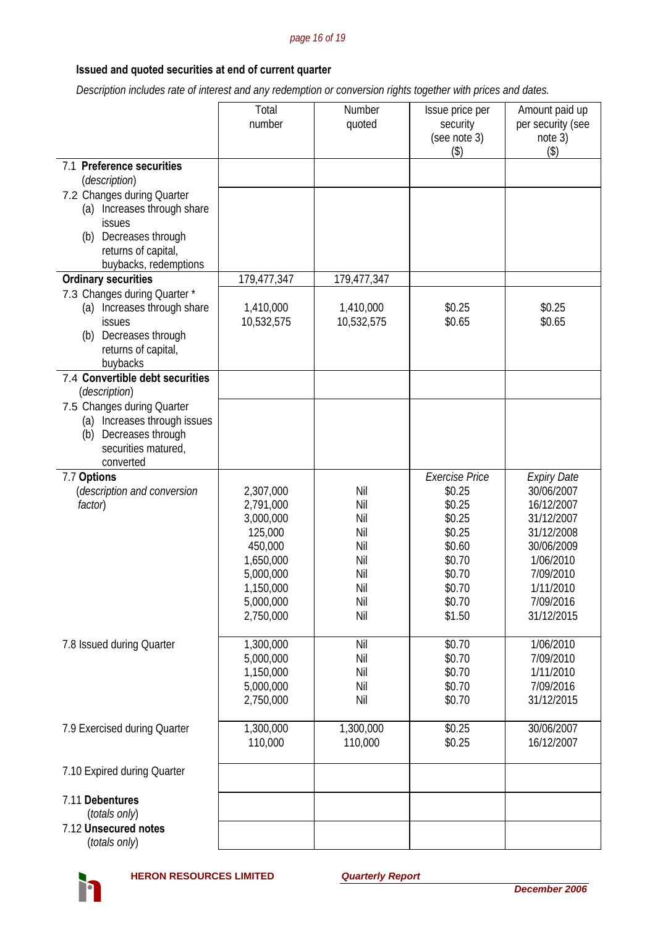#### *page 16 of 19*

# **Issued and quoted securities at end of current quarter**

 *Description includes rate of interest and any redemption or conversion rights together with prices and dates.* 

|                                                                                                                                                                  | Total<br>number                                                                                               | Number<br>quoted                                            | Issue price per<br>security<br>(see note 3)<br>(3)                                     | Amount paid up<br>per security (see<br>note 3)<br>$($ \$)                                                              |
|------------------------------------------------------------------------------------------------------------------------------------------------------------------|---------------------------------------------------------------------------------------------------------------|-------------------------------------------------------------|----------------------------------------------------------------------------------------|------------------------------------------------------------------------------------------------------------------------|
| 7.1 Preference securities                                                                                                                                        |                                                                                                               |                                                             |                                                                                        |                                                                                                                        |
| (description)<br>7.2 Changes during Quarter<br>(a) Increases through share<br>issues<br>Decreases through<br>(b)<br>returns of capital,<br>buybacks, redemptions |                                                                                                               |                                                             |                                                                                        |                                                                                                                        |
| <b>Ordinary securities</b>                                                                                                                                       | 179,477,347                                                                                                   | 179,477,347                                                 |                                                                                        |                                                                                                                        |
| 7.3 Changes during Quarter *<br>Increases through share<br>(a)<br>issues<br>Decreases through<br>(b)<br>returns of capital,<br>buybacks                          | 1,410,000<br>10,532,575                                                                                       | 1,410,000<br>10,532,575                                     | \$0.25<br>\$0.65                                                                       | \$0.25<br>\$0.65                                                                                                       |
| 7.4 Convertible debt securities<br>(description)                                                                                                                 |                                                                                                               |                                                             |                                                                                        |                                                                                                                        |
| 7.5 Changes during Quarter<br>(a) Increases through issues<br>Decreases through<br>(b)<br>securities matured,<br>converted                                       |                                                                                                               |                                                             |                                                                                        |                                                                                                                        |
| 7.7 Options<br>(description and conversion                                                                                                                       | 2,307,000                                                                                                     | Nil                                                         | <b>Exercise Price</b><br>\$0.25                                                        | <b>Expiry Date</b><br>30/06/2007                                                                                       |
| factor)                                                                                                                                                          | 2,791,000<br>3,000,000<br>125,000<br>450,000<br>1,650,000<br>5,000,000<br>1,150,000<br>5,000,000<br>2,750,000 | Nil<br>Nil<br>Nil<br>Nil<br>Nil<br>Nil<br>Nil<br>Nil<br>Nil | \$0.25<br>\$0.25<br>\$0.25<br>\$0.60<br>\$0.70<br>\$0.70<br>\$0.70<br>\$0.70<br>\$1.50 | 16/12/2007<br>31/12/2007<br>31/12/2008<br>30/06/2009<br>1/06/2010<br>7/09/2010<br>1/11/2010<br>7/09/2016<br>31/12/2015 |
| 7.8 Issued during Quarter                                                                                                                                        | 1,300,000<br>5,000,000<br>1,150,000<br>5,000,000<br>2,750,000                                                 | Nil<br>Nil<br>Nil<br>Nil<br>Nil                             | \$0.70<br>\$0.70<br>\$0.70<br>\$0.70<br>\$0.70                                         | 1/06/2010<br>7/09/2010<br>1/11/2010<br>7/09/2016<br>31/12/2015                                                         |
| 7.9 Exercised during Quarter                                                                                                                                     | 1,300,000<br>110,000                                                                                          | 1,300,000<br>110,000                                        | \$0.25<br>\$0.25                                                                       | 30/06/2007<br>16/12/2007                                                                                               |
| 7.10 Expired during Quarter                                                                                                                                      |                                                                                                               |                                                             |                                                                                        |                                                                                                                        |
| 7.11 Debentures<br>(totals only)<br>7.12 Unsecured notes<br>(totals only)                                                                                        |                                                                                                               |                                                             |                                                                                        |                                                                                                                        |

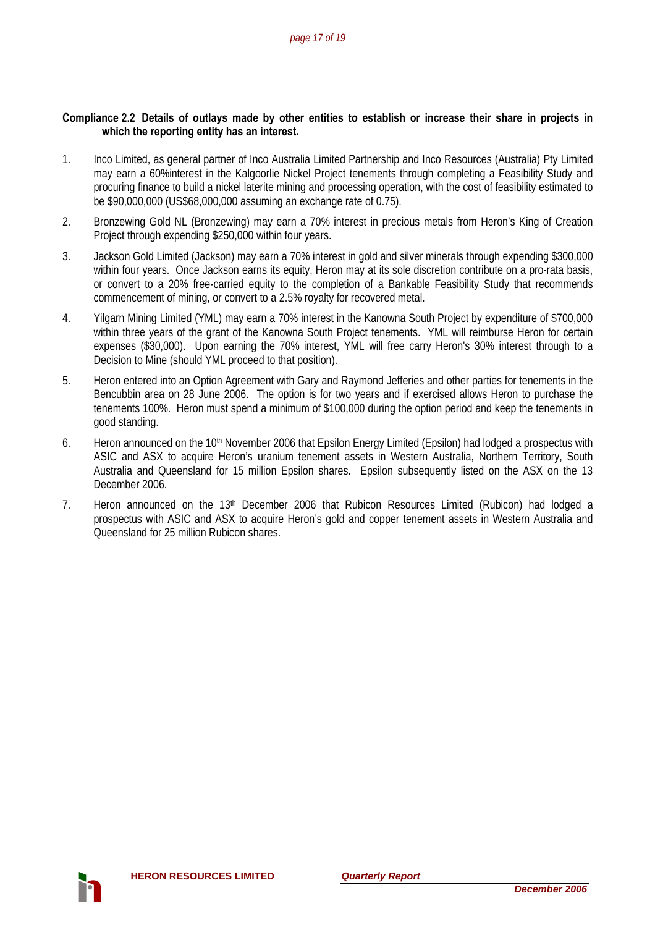#### **Compliance 2.2 Details of outlays made by other entities to establish or increase their share in projects in which the reporting entity has an interest.**

- 1. Inco Limited, as general partner of Inco Australia Limited Partnership and Inco Resources (Australia) Pty Limited may earn a 60%interest in the Kalgoorlie Nickel Project tenements through completing a Feasibility Study and procuring finance to build a nickel laterite mining and processing operation, with the cost of feasibility estimated to be \$90,000,000 (US\$68,000,000 assuming an exchange rate of 0.75).
- 2. Bronzewing Gold NL (Bronzewing) may earn a 70% interest in precious metals from Heron's King of Creation Project through expending \$250,000 within four years.
- 3. Jackson Gold Limited (Jackson) may earn a 70% interest in gold and silver minerals through expending \$300,000 within four years. Once Jackson earns its equity, Heron may at its sole discretion contribute on a pro-rata basis, or convert to a 20% free-carried equity to the completion of a Bankable Feasibility Study that recommends commencement of mining, or convert to a 2.5% royalty for recovered metal.
- 4. Yilgarn Mining Limited (YML) may earn a 70% interest in the Kanowna South Project by expenditure of \$700,000 within three years of the grant of the Kanowna South Project tenements. YML will reimburse Heron for certain expenses (\$30,000). Upon earning the 70% interest. YML will free carry Heron's 30% interest through to a Decision to Mine (should YML proceed to that position).
- 5. Heron entered into an Option Agreement with Gary and Raymond Jefferies and other parties for tenements in the Bencubbin area on 28 June 2006. The option is for two years and if exercised allows Heron to purchase the tenements 100%. Heron must spend a minimum of \$100,000 during the option period and keep the tenements in good standing.
- 6. Heron announced on the 10<sup>th</sup> November 2006 that Epsilon Energy Limited (Epsilon) had lodged a prospectus with ASIC and ASX to acquire Heron's uranium tenement assets in Western Australia, Northern Territory, South Australia and Queensland for 15 million Epsilon shares. Epsilon subsequently listed on the ASX on the 13 December 2006.
- 7. Heron announced on the 13<sup>th</sup> December 2006 that Rubicon Resources Limited (Rubicon) had lodged a prospectus with ASIC and ASX to acquire Heron's gold and copper tenement assets in Western Australia and Queensland for 25 million Rubicon shares.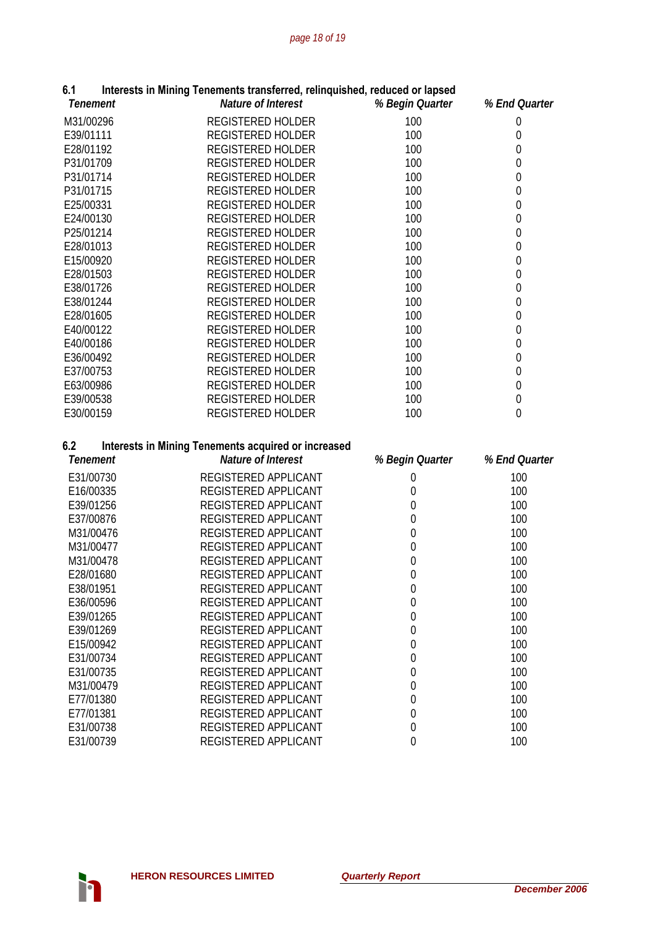| წ.1             | Interests in Mining Tenements transferred, relinquished, reduced or lapsed |                  |                  |
|-----------------|----------------------------------------------------------------------------|------------------|------------------|
| <b>Tenement</b> | Nature of Interest                                                         | % Begin Quarter  | % End Quarter    |
| M31/00296       | <b>REGISTERED HOLDER</b>                                                   | 100              | $\boldsymbol{0}$ |
| E39/01111       | REGISTERED HOLDER                                                          | 100              | $\mathbf 0$      |
| E28/01192       | <b>REGISTERED HOLDER</b>                                                   | 100              | $\mathbf{0}$     |
| P31/01709       | REGISTERED HOLDER                                                          | 100              | $\mathbf{0}$     |
| P31/01714       | REGISTERED HOLDER                                                          | 100              | $\mathbf{0}$     |
| P31/01715       | REGISTERED HOLDER                                                          | 100              | $\mathbf 0$      |
| E25/00331       | REGISTERED HOLDER                                                          | 100              | $\mathbf 0$      |
| E24/00130       | REGISTERED HOLDER                                                          | 100              | $\boldsymbol{0}$ |
| P25/01214       | REGISTERED HOLDER                                                          | 100              | $\boldsymbol{0}$ |
| E28/01013       | <b>REGISTERED HOLDER</b>                                                   | 100              | $\boldsymbol{0}$ |
| E15/00920       | <b>REGISTERED HOLDER</b>                                                   | 100              | $\mathbf{0}$     |
| E28/01503       | REGISTERED HOLDER                                                          | 100              | $\mathbf{0}$     |
| E38/01726       | <b>REGISTERED HOLDER</b>                                                   | 100              | $\mathbf{0}$     |
| E38/01244       | REGISTERED HOLDER                                                          | 100              | $\boldsymbol{0}$ |
| E28/01605       | REGISTERED HOLDER                                                          | 100              | $\boldsymbol{0}$ |
| E40/00122       | REGISTERED HOLDER                                                          | 100              | $\boldsymbol{0}$ |
| E40/00186       | REGISTERED HOLDER                                                          | 100              | $\boldsymbol{0}$ |
| E36/00492       | REGISTERED HOLDER                                                          | 100              | $\boldsymbol{0}$ |
| E37/00753       | <b>REGISTERED HOLDER</b>                                                   | 100              | $\boldsymbol{0}$ |
| E63/00986       | <b>REGISTERED HOLDER</b>                                                   | 100              | $\mathbf 0$      |
| E39/00538       | REGISTERED HOLDER                                                          | 100              | $\mathbf{0}$     |
| E30/00159       | REGISTERED HOLDER                                                          | 100              | $\overline{0}$   |
| 6.2             | <b>Interests in Mining Tenements acquired or increased</b>                 |                  |                  |
| <b>Tenement</b> | Nature of Interest                                                         | % Begin Quarter  | % End Quarter    |
| E31/00730       | REGISTERED APPLICANT                                                       | 0                | 100              |
| E16/00335       | REGISTERED APPLICANT                                                       | $\mathbf 0$      | 100              |
| E39/01256       | REGISTERED APPLICANT                                                       | $\mathbf{0}$     | 100              |
| E37/00876       | REGISTERED APPLICANT                                                       | $\mathbf 0$      | 100              |
| M31/00476       | REGISTERED APPLICANT                                                       | $\mathbf 0$      | 100              |
| M31/00477       | REGISTERED APPLICANT                                                       | $\mathbf 0$      | 100              |
| M31/00478       | REGISTERED APPLICANT                                                       | $\mathbf{0}$     | 100              |
| E28/01680       | REGISTERED APPLICANT                                                       | 0                | 100              |
| E38/01951       | REGISTERED APPLICANT                                                       | $\boldsymbol{0}$ | 100              |
| E36/00596       | REGISTERED APPLICANT                                                       | $\boldsymbol{0}$ | 100              |
| E39/01265       | REGISTERED APPLICANT                                                       | $\mathbf 0$      | 100              |
| E39/01269       | REGISTERED APPLICANT                                                       | $\mathbf{0}$     | 100              |
| E15/00942       | REGISTERED APPLICANT                                                       | $\mathbf 0$      | 100              |
| E31/00734       | REGISTERED APPLICANT                                                       | $\mathbf 0$      | 100              |
| E31/00735       | REGISTERED APPLICANT                                                       | 0                | 100              |
| M31/00479       | REGISTERED APPLICANT                                                       | 0                | 100              |
| E77/01380       | REGISTERED APPLICANT                                                       | 0                | 100              |
| E77/01381       |                                                                            |                  |                  |
|                 | REGISTERED APPLICANT                                                       | 0                | 100              |
| E31/00738       | REGISTERED APPLICANT                                                       | $\boldsymbol{0}$ | 100              |

#### **6.1 Interests in Mining Tenements transferred, relinquished, reduced or lapsed**